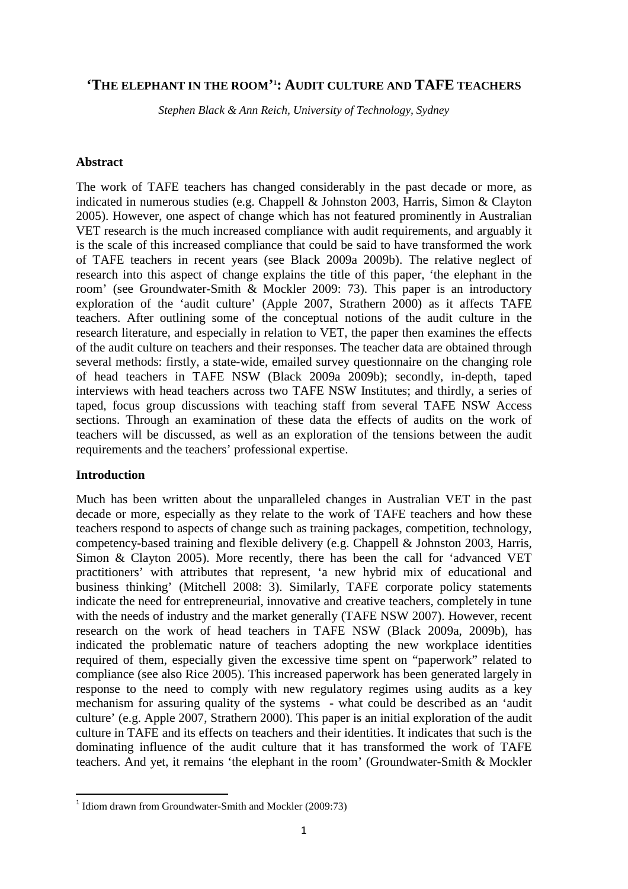# **'THE ELEPHANT IN THE ROOM' 1 : AUDIT CULTURE AND TAFE TEACHERS**

*Stephen Black & Ann Reich, University of Technology, Sydney* 

#### **Abstract**

The work of TAFE teachers has changed considerably in the past decade or more, as indicated in numerous studies (e.g. Chappell & Johnston 2003, Harris, Simon & Clayton 2005). However, one aspect of change which has not featured prominently in Australian VET research is the much increased compliance with audit requirements, and arguably it is the scale of this increased compliance that could be said to have transformed the work of TAFE teachers in recent years (see Black 2009a 2009b). The relative neglect of research into this aspect of change explains the title of this paper, 'the elephant in the room' (see Groundwater-Smith & Mockler 2009: 73). This paper is an introductory exploration of the 'audit culture' (Apple 2007, Strathern 2000) as it affects TAFE teachers. After outlining some of the conceptual notions of the audit culture in the research literature, and especially in relation to VET, the paper then examines the effects of the audit culture on teachers and their responses. The teacher data are obtained through several methods: firstly, a state-wide, emailed survey questionnaire on the changing role of head teachers in TAFE NSW (Black 2009a 2009b); secondly, in-depth, taped interviews with head teachers across two TAFE NSW Institutes; and thirdly, a series of taped, focus group discussions with teaching staff from several TAFE NSW Access sections. Through an examination of these data the effects of audits on the work of teachers will be discussed, as well as an exploration of the tensions between the audit requirements and the teachers' professional expertise.

### **Introduction**

 $\overline{a}$ 

Much has been written about the unparalleled changes in Australian VET in the past decade or more, especially as they relate to the work of TAFE teachers and how these teachers respond to aspects of change such as training packages, competition, technology, competency-based training and flexible delivery (e.g. Chappell & Johnston 2003, Harris, Simon & Clayton 2005). More recently, there has been the call for 'advanced VET practitioners' with attributes that represent, 'a new hybrid mix of educational and business thinking' (Mitchell 2008: 3). Similarly, TAFE corporate policy statements indicate the need for entrepreneurial, innovative and creative teachers, completely in tune with the needs of industry and the market generally (TAFE NSW 2007). However, recent research on the work of head teachers in TAFE NSW (Black 2009a, 2009b), has indicated the problematic nature of teachers adopting the new workplace identities required of them, especially given the excessive time spent on "paperwork" related to compliance (see also Rice 2005). This increased paperwork has been generated largely in response to the need to comply with new regulatory regimes using audits as a key mechanism for assuring quality of the systems - what could be described as an 'audit culture' (e.g. Apple 2007, Strathern 2000). This paper is an initial exploration of the audit culture in TAFE and its effects on teachers and their identities. It indicates that such is the dominating influence of the audit culture that it has transformed the work of TAFE teachers. And yet, it remains 'the elephant in the room' (Groundwater-Smith & Mockler

<sup>&</sup>lt;sup>1</sup> Idiom drawn from Groundwater-Smith and Mockler (2009:73)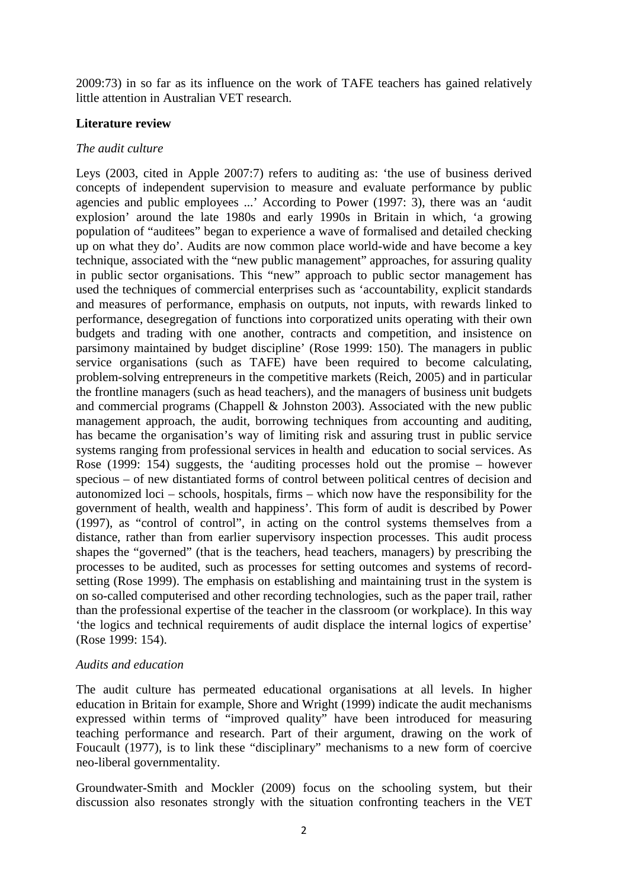2009:73) in so far as its influence on the work of TAFE teachers has gained relatively little attention in Australian VET research.

### **Literature review**

### *The audit culture*

Leys (2003, cited in Apple 2007:7) refers to auditing as: 'the use of business derived concepts of independent supervision to measure and evaluate performance by public agencies and public employees ...' According to Power (1997: 3), there was an 'audit explosion' around the late 1980s and early 1990s in Britain in which, 'a growing population of "auditees" began to experience a wave of formalised and detailed checking up on what they do'. Audits are now common place world-wide and have become a key technique, associated with the "new public management" approaches, for assuring quality in public sector organisations. This "new" approach to public sector management has used the techniques of commercial enterprises such as 'accountability, explicit standards and measures of performance, emphasis on outputs, not inputs, with rewards linked to performance, desegregation of functions into corporatized units operating with their own budgets and trading with one another, contracts and competition, and insistence on parsimony maintained by budget discipline' (Rose 1999: 150). The managers in public service organisations (such as TAFE) have been required to become calculating, problem-solving entrepreneurs in the competitive markets (Reich, 2005) and in particular the frontline managers (such as head teachers), and the managers of business unit budgets and commercial programs (Chappell & Johnston 2003). Associated with the new public management approach, the audit, borrowing techniques from accounting and auditing, has became the organisation's way of limiting risk and assuring trust in public service systems ranging from professional services in health and education to social services. As Rose (1999: 154) suggests, the 'auditing processes hold out the promise – however specious – of new distantiated forms of control between political centres of decision and autonomized loci – schools, hospitals, firms – which now have the responsibility for the government of health, wealth and happiness'. This form of audit is described by Power (1997), as "control of control", in acting on the control systems themselves from a distance, rather than from earlier supervisory inspection processes. This audit process shapes the "governed" (that is the teachers, head teachers, managers) by prescribing the processes to be audited, such as processes for setting outcomes and systems of recordsetting (Rose 1999). The emphasis on establishing and maintaining trust in the system is on so-called computerised and other recording technologies, such as the paper trail, rather than the professional expertise of the teacher in the classroom (or workplace). In this way 'the logics and technical requirements of audit displace the internal logics of expertise' (Rose 1999: 154).

### *Audits and education*

The audit culture has permeated educational organisations at all levels. In higher education in Britain for example, Shore and Wright (1999) indicate the audit mechanisms expressed within terms of "improved quality" have been introduced for measuring teaching performance and research. Part of their argument, drawing on the work of Foucault (1977), is to link these "disciplinary" mechanisms to a new form of coercive neo-liberal governmentality.

Groundwater-Smith and Mockler (2009) focus on the schooling system, but their discussion also resonates strongly with the situation confronting teachers in the VET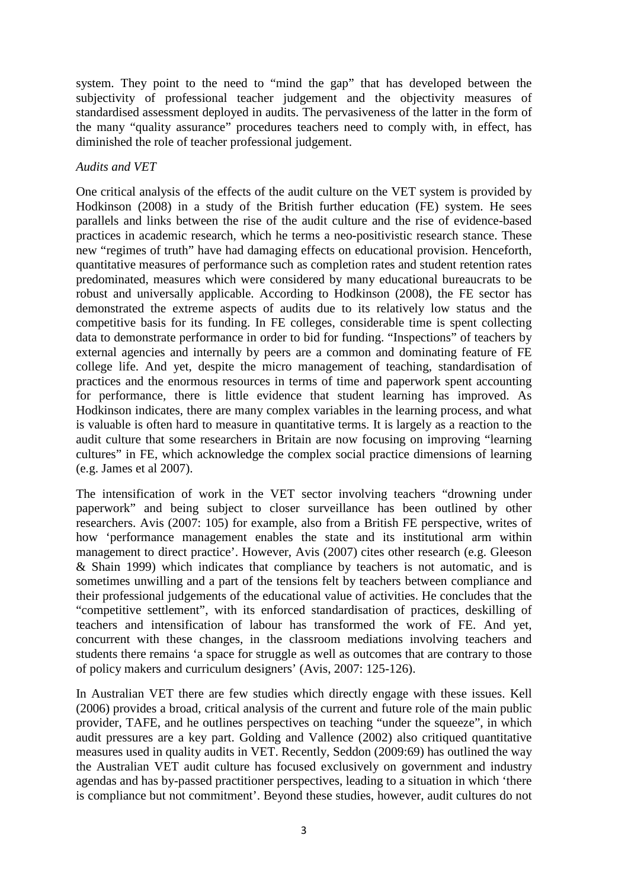system. They point to the need to "mind the gap" that has developed between the subjectivity of professional teacher judgement and the objectivity measures of standardised assessment deployed in audits. The pervasiveness of the latter in the form of the many "quality assurance" procedures teachers need to comply with, in effect, has diminished the role of teacher professional judgement.

## *Audits and VET*

One critical analysis of the effects of the audit culture on the VET system is provided by Hodkinson (2008) in a study of the British further education (FE) system. He sees parallels and links between the rise of the audit culture and the rise of evidence-based practices in academic research, which he terms a neo-positivistic research stance. These new "regimes of truth" have had damaging effects on educational provision. Henceforth, quantitative measures of performance such as completion rates and student retention rates predominated, measures which were considered by many educational bureaucrats to be robust and universally applicable. According to Hodkinson (2008), the FE sector has demonstrated the extreme aspects of audits due to its relatively low status and the competitive basis for its funding. In FE colleges, considerable time is spent collecting data to demonstrate performance in order to bid for funding. "Inspections" of teachers by external agencies and internally by peers are a common and dominating feature of FE college life. And yet, despite the micro management of teaching, standardisation of practices and the enormous resources in terms of time and paperwork spent accounting for performance, there is little evidence that student learning has improved. As Hodkinson indicates, there are many complex variables in the learning process, and what is valuable is often hard to measure in quantitative terms. It is largely as a reaction to the audit culture that some researchers in Britain are now focusing on improving "learning cultures" in FE, which acknowledge the complex social practice dimensions of learning (e.g. James et al 2007).

The intensification of work in the VET sector involving teachers "drowning under paperwork" and being subject to closer surveillance has been outlined by other researchers. Avis (2007: 105) for example, also from a British FE perspective, writes of how 'performance management enables the state and its institutional arm within management to direct practice'. However, Avis (2007) cites other research (e.g. Gleeson & Shain 1999) which indicates that compliance by teachers is not automatic, and is sometimes unwilling and a part of the tensions felt by teachers between compliance and their professional judgements of the educational value of activities. He concludes that the "competitive settlement", with its enforced standardisation of practices, deskilling of teachers and intensification of labour has transformed the work of FE. And yet, concurrent with these changes, in the classroom mediations involving teachers and students there remains 'a space for struggle as well as outcomes that are contrary to those of policy makers and curriculum designers' (Avis, 2007: 125-126).

In Australian VET there are few studies which directly engage with these issues. Kell (2006) provides a broad, critical analysis of the current and future role of the main public provider, TAFE, and he outlines perspectives on teaching "under the squeeze", in which audit pressures are a key part. Golding and Vallence (2002) also critiqued quantitative measures used in quality audits in VET. Recently, Seddon (2009:69) has outlined the way the Australian VET audit culture has focused exclusively on government and industry agendas and has by-passed practitioner perspectives, leading to a situation in which 'there is compliance but not commitment'. Beyond these studies, however, audit cultures do not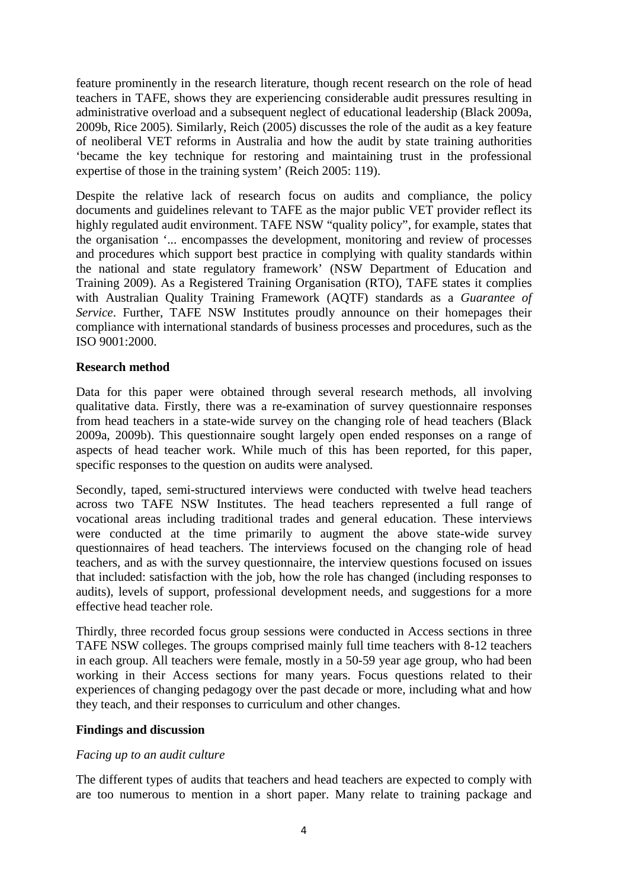feature prominently in the research literature, though recent research on the role of head teachers in TAFE, shows they are experiencing considerable audit pressures resulting in administrative overload and a subsequent neglect of educational leadership (Black 2009a, 2009b, Rice 2005). Similarly, Reich (2005) discusses the role of the audit as a key feature of neoliberal VET reforms in Australia and how the audit by state training authorities 'became the key technique for restoring and maintaining trust in the professional expertise of those in the training system' (Reich 2005: 119).

Despite the relative lack of research focus on audits and compliance, the policy documents and guidelines relevant to TAFE as the major public VET provider reflect its highly regulated audit environment. TAFE NSW "quality policy", for example, states that the organisation '... encompasses the development, monitoring and review of processes and procedures which support best practice in complying with quality standards within the national and state regulatory framework' (NSW Department of Education and Training 2009). As a Registered Training Organisation (RTO), TAFE states it complies with Australian Quality Training Framework (AQTF) standards as a *Guarantee of Service*. Further, TAFE NSW Institutes proudly announce on their homepages their compliance with international standards of business processes and procedures, such as the ISO 9001:2000.

### **Research method**

Data for this paper were obtained through several research methods, all involving qualitative data. Firstly, there was a re-examination of survey questionnaire responses from head teachers in a state-wide survey on the changing role of head teachers (Black 2009a, 2009b). This questionnaire sought largely open ended responses on a range of aspects of head teacher work. While much of this has been reported, for this paper, specific responses to the question on audits were analysed.

Secondly, taped, semi-structured interviews were conducted with twelve head teachers across two TAFE NSW Institutes. The head teachers represented a full range of vocational areas including traditional trades and general education. These interviews were conducted at the time primarily to augment the above state-wide survey questionnaires of head teachers. The interviews focused on the changing role of head teachers, and as with the survey questionnaire, the interview questions focused on issues that included: satisfaction with the job, how the role has changed (including responses to audits), levels of support, professional development needs, and suggestions for a more effective head teacher role.

Thirdly, three recorded focus group sessions were conducted in Access sections in three TAFE NSW colleges. The groups comprised mainly full time teachers with 8-12 teachers in each group. All teachers were female, mostly in a 50-59 year age group, who had been working in their Access sections for many years. Focus questions related to their experiences of changing pedagogy over the past decade or more, including what and how they teach, and their responses to curriculum and other changes.

#### **Findings and discussion**

#### *Facing up to an audit culture*

The different types of audits that teachers and head teachers are expected to comply with are too numerous to mention in a short paper. Many relate to training package and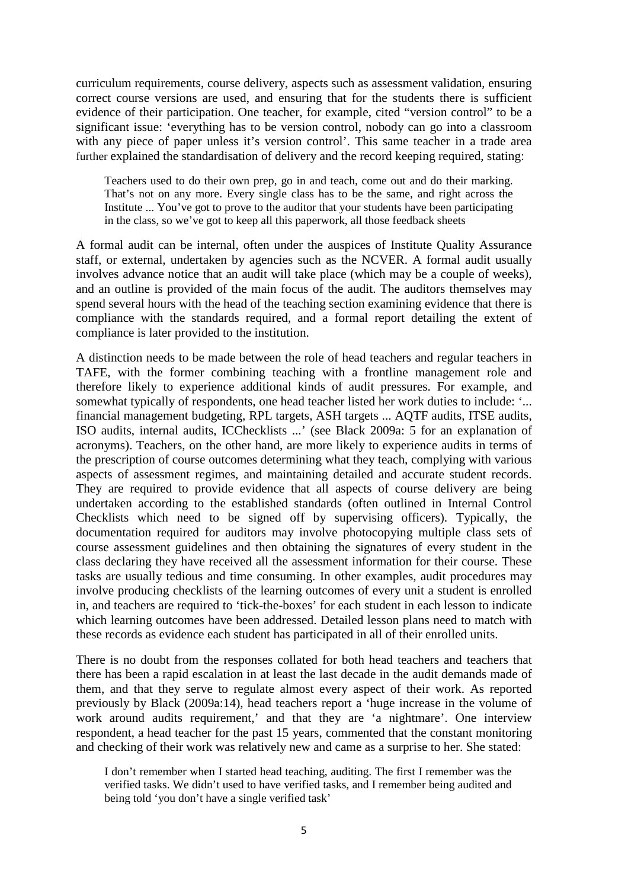curriculum requirements, course delivery, aspects such as assessment validation, ensuring correct course versions are used, and ensuring that for the students there is sufficient evidence of their participation. One teacher, for example, cited "version control" to be a significant issue: 'everything has to be version control, nobody can go into a classroom with any piece of paper unless it's version control'. This same teacher in a trade area further explained the standardisation of delivery and the record keeping required, stating:

Teachers used to do their own prep, go in and teach, come out and do their marking. That's not on any more. Every single class has to be the same, and right across the Institute ... You've got to prove to the auditor that your students have been participating in the class, so we've got to keep all this paperwork, all those feedback sheets

A formal audit can be internal, often under the auspices of Institute Quality Assurance staff, or external, undertaken by agencies such as the NCVER. A formal audit usually involves advance notice that an audit will take place (which may be a couple of weeks), and an outline is provided of the main focus of the audit. The auditors themselves may spend several hours with the head of the teaching section examining evidence that there is compliance with the standards required, and a formal report detailing the extent of compliance is later provided to the institution.

A distinction needs to be made between the role of head teachers and regular teachers in TAFE, with the former combining teaching with a frontline management role and therefore likely to experience additional kinds of audit pressures. For example, and somewhat typically of respondents, one head teacher listed her work duties to include: '... financial management budgeting, RPL targets, ASH targets ... AQTF audits, ITSE audits, ISO audits, internal audits, ICChecklists ...' (see Black 2009a: 5 for an explanation of acronyms). Teachers, on the other hand, are more likely to experience audits in terms of the prescription of course outcomes determining what they teach, complying with various aspects of assessment regimes, and maintaining detailed and accurate student records. They are required to provide evidence that all aspects of course delivery are being undertaken according to the established standards (often outlined in Internal Control Checklists which need to be signed off by supervising officers). Typically, the documentation required for auditors may involve photocopying multiple class sets of course assessment guidelines and then obtaining the signatures of every student in the class declaring they have received all the assessment information for their course. These tasks are usually tedious and time consuming. In other examples, audit procedures may involve producing checklists of the learning outcomes of every unit a student is enrolled in, and teachers are required to 'tick-the-boxes' for each student in each lesson to indicate which learning outcomes have been addressed. Detailed lesson plans need to match with these records as evidence each student has participated in all of their enrolled units.

There is no doubt from the responses collated for both head teachers and teachers that there has been a rapid escalation in at least the last decade in the audit demands made of them, and that they serve to regulate almost every aspect of their work. As reported previously by Black (2009a:14), head teachers report a 'huge increase in the volume of work around audits requirement,' and that they are 'a nightmare'. One interview respondent, a head teacher for the past 15 years, commented that the constant monitoring and checking of their work was relatively new and came as a surprise to her. She stated:

I don't remember when I started head teaching, auditing. The first I remember was the verified tasks. We didn't used to have verified tasks, and I remember being audited and being told 'you don't have a single verified task'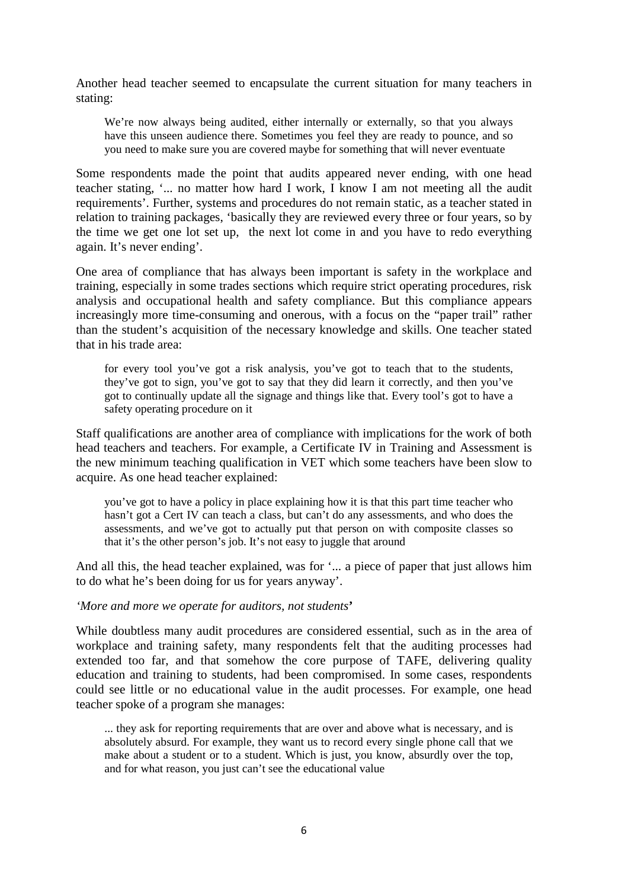Another head teacher seemed to encapsulate the current situation for many teachers in stating:

We're now always being audited, either internally or externally, so that you always have this unseen audience there. Sometimes you feel they are ready to pounce, and so you need to make sure you are covered maybe for something that will never eventuate

Some respondents made the point that audits appeared never ending, with one head teacher stating, '... no matter how hard I work, I know I am not meeting all the audit requirements'. Further, systems and procedures do not remain static, as a teacher stated in relation to training packages, 'basically they are reviewed every three or four years, so by the time we get one lot set up, the next lot come in and you have to redo everything again. It's never ending'.

One area of compliance that has always been important is safety in the workplace and training, especially in some trades sections which require strict operating procedures, risk analysis and occupational health and safety compliance. But this compliance appears increasingly more time-consuming and onerous, with a focus on the "paper trail" rather than the student's acquisition of the necessary knowledge and skills. One teacher stated that in his trade area:

for every tool you've got a risk analysis, you've got to teach that to the students, they've got to sign, you've got to say that they did learn it correctly, and then you've got to continually update all the signage and things like that. Every tool's got to have a safety operating procedure on it

Staff qualifications are another area of compliance with implications for the work of both head teachers and teachers. For example, a Certificate IV in Training and Assessment is the new minimum teaching qualification in VET which some teachers have been slow to acquire. As one head teacher explained:

you've got to have a policy in place explaining how it is that this part time teacher who hasn't got a Cert IV can teach a class, but can't do any assessments, and who does the assessments, and we've got to actually put that person on with composite classes so that it's the other person's job. It's not easy to juggle that around

And all this, the head teacher explained, was for '... a piece of paper that just allows him to do what he's been doing for us for years anyway'.

#### *'More and more we operate for auditors, not students***'**

While doubtless many audit procedures are considered essential, such as in the area of workplace and training safety, many respondents felt that the auditing processes had extended too far, and that somehow the core purpose of TAFE, delivering quality education and training to students, had been compromised. In some cases, respondents could see little or no educational value in the audit processes. For example, one head teacher spoke of a program she manages:

... they ask for reporting requirements that are over and above what is necessary, and is absolutely absurd. For example, they want us to record every single phone call that we make about a student or to a student. Which is just, you know, absurdly over the top, and for what reason, you just can't see the educational value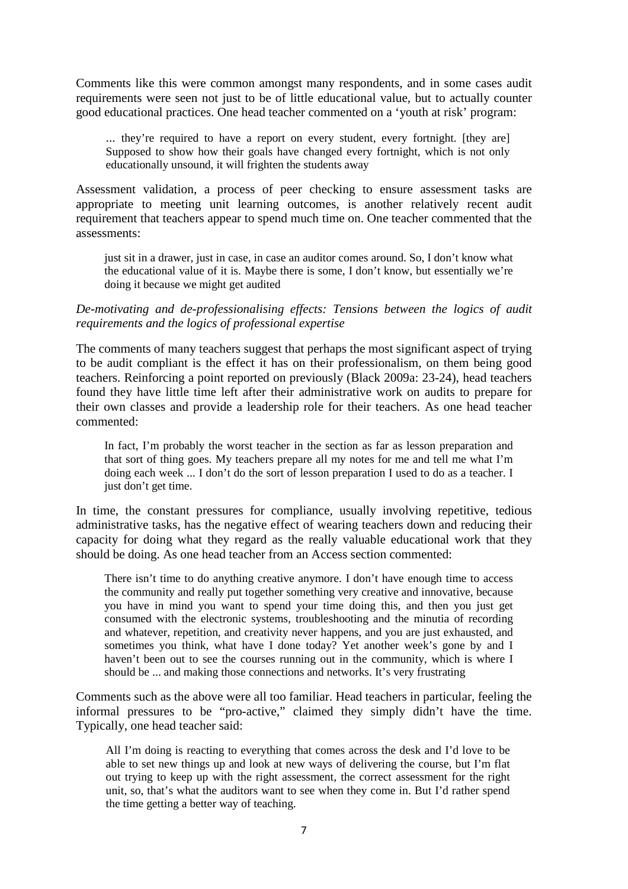Comments like this were common amongst many respondents, and in some cases audit requirements were seen not just to be of little educational value, but to actually counter good educational practices. One head teacher commented on a 'youth at risk' program:

... they're required to have a report on every student, every fortnight. [they are] Supposed to show how their goals have changed every fortnight, which is not only educationally unsound, it will frighten the students away

Assessment validation, a process of peer checking to ensure assessment tasks are appropriate to meeting unit learning outcomes, is another relatively recent audit requirement that teachers appear to spend much time on. One teacher commented that the assessments:

just sit in a drawer, just in case, in case an auditor comes around. So, I don't know what the educational value of it is. Maybe there is some, I don't know, but essentially we're doing it because we might get audited

### *De-motivating and de-professionalising effects: Tensions between the logics of audit requirements and the logics of professional expertise*

The comments of many teachers suggest that perhaps the most significant aspect of trying to be audit compliant is the effect it has on their professionalism, on them being good teachers. Reinforcing a point reported on previously (Black 2009a: 23-24), head teachers found they have little time left after their administrative work on audits to prepare for their own classes and provide a leadership role for their teachers. As one head teacher commented:

In fact, I'm probably the worst teacher in the section as far as lesson preparation and that sort of thing goes. My teachers prepare all my notes for me and tell me what I'm doing each week ... I don't do the sort of lesson preparation I used to do as a teacher. I just don't get time.

In time, the constant pressures for compliance, usually involving repetitive, tedious administrative tasks, has the negative effect of wearing teachers down and reducing their capacity for doing what they regard as the really valuable educational work that they should be doing. As one head teacher from an Access section commented:

There isn't time to do anything creative anymore. I don't have enough time to access the community and really put together something very creative and innovative, because you have in mind you want to spend your time doing this, and then you just get consumed with the electronic systems, troubleshooting and the minutia of recording and whatever, repetition, and creativity never happens, and you are just exhausted, and sometimes you think, what have I done today? Yet another week's gone by and I haven't been out to see the courses running out in the community, which is where I should be ... and making those connections and networks. It's very frustrating

Comments such as the above were all too familiar. Head teachers in particular, feeling the informal pressures to be "pro-active," claimed they simply didn't have the time. Typically, one head teacher said:

All I'm doing is reacting to everything that comes across the desk and I'd love to be able to set new things up and look at new ways of delivering the course, but I'm flat out trying to keep up with the right assessment, the correct assessment for the right unit, so, that's what the auditors want to see when they come in. But I'd rather spend the time getting a better way of teaching.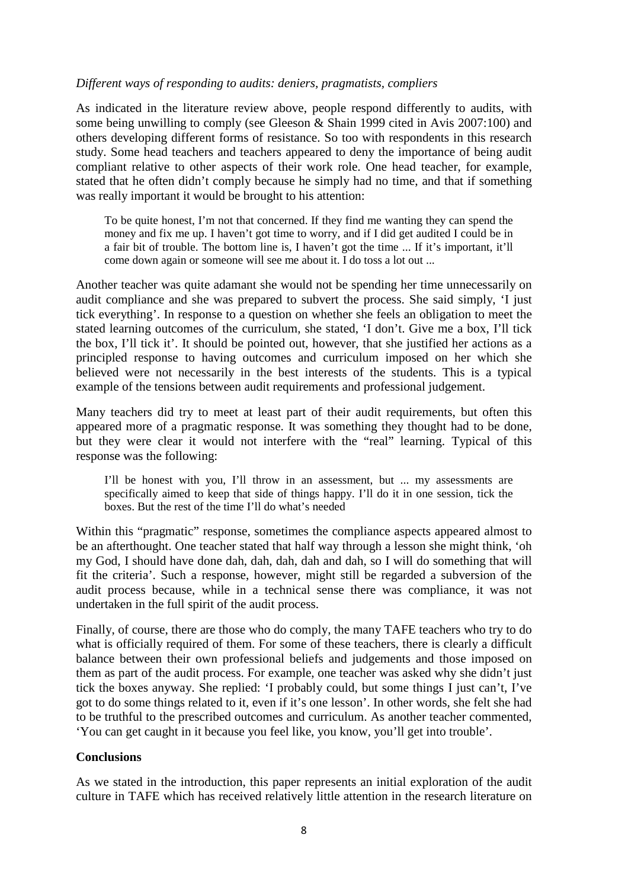### *Different ways of responding to audits: deniers, pragmatists, compliers*

As indicated in the literature review above, people respond differently to audits, with some being unwilling to comply (see Gleeson & Shain 1999 cited in Avis 2007:100) and others developing different forms of resistance. So too with respondents in this research study. Some head teachers and teachers appeared to deny the importance of being audit compliant relative to other aspects of their work role. One head teacher, for example, stated that he often didn't comply because he simply had no time, and that if something was really important it would be brought to his attention:

To be quite honest, I'm not that concerned. If they find me wanting they can spend the money and fix me up. I haven't got time to worry, and if I did get audited I could be in a fair bit of trouble. The bottom line is, I haven't got the time ... If it's important, it'll come down again or someone will see me about it. I do toss a lot out ...

Another teacher was quite adamant she would not be spending her time unnecessarily on audit compliance and she was prepared to subvert the process. She said simply, 'I just tick everything'. In response to a question on whether she feels an obligation to meet the stated learning outcomes of the curriculum, she stated, 'I don't. Give me a box, I'll tick the box, I'll tick it'. It should be pointed out, however, that she justified her actions as a principled response to having outcomes and curriculum imposed on her which she believed were not necessarily in the best interests of the students. This is a typical example of the tensions between audit requirements and professional judgement.

Many teachers did try to meet at least part of their audit requirements, but often this appeared more of a pragmatic response. It was something they thought had to be done, but they were clear it would not interfere with the "real" learning. Typical of this response was the following:

I'll be honest with you, I'll throw in an assessment, but ... my assessments are specifically aimed to keep that side of things happy. I'll do it in one session, tick the boxes. But the rest of the time I'll do what's needed

Within this "pragmatic" response, sometimes the compliance aspects appeared almost to be an afterthought. One teacher stated that half way through a lesson she might think, 'oh my God, I should have done dah, dah, dah, dah and dah, so I will do something that will fit the criteria'. Such a response, however, might still be regarded a subversion of the audit process because, while in a technical sense there was compliance, it was not undertaken in the full spirit of the audit process.

Finally, of course, there are those who do comply, the many TAFE teachers who try to do what is officially required of them. For some of these teachers, there is clearly a difficult balance between their own professional beliefs and judgements and those imposed on them as part of the audit process. For example, one teacher was asked why she didn't just tick the boxes anyway. She replied: 'I probably could, but some things I just can't, I've got to do some things related to it, even if it's one lesson'. In other words, she felt she had to be truthful to the prescribed outcomes and curriculum. As another teacher commented, 'You can get caught in it because you feel like, you know, you'll get into trouble'.

### **Conclusions**

As we stated in the introduction, this paper represents an initial exploration of the audit culture in TAFE which has received relatively little attention in the research literature on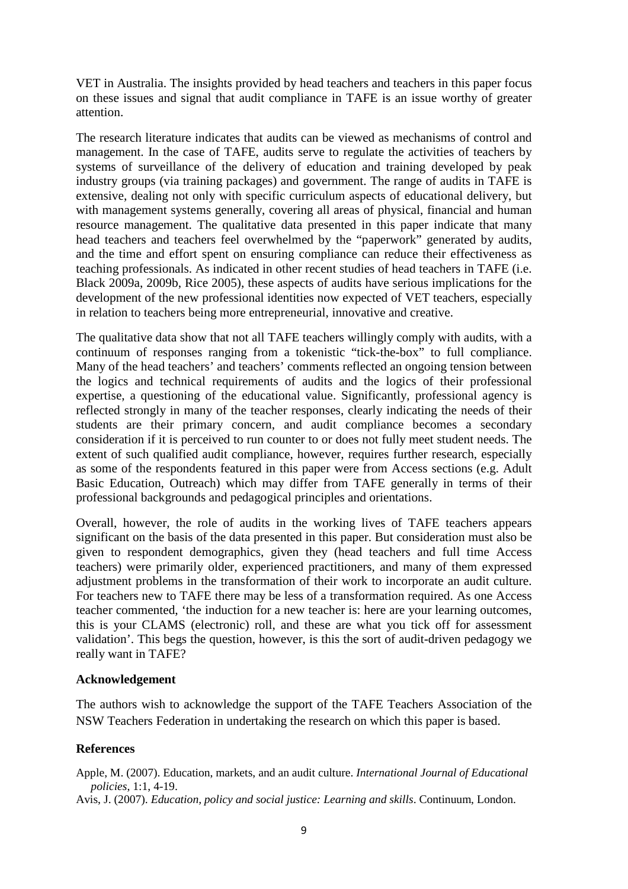VET in Australia. The insights provided by head teachers and teachers in this paper focus on these issues and signal that audit compliance in TAFE is an issue worthy of greater attention.

The research literature indicates that audits can be viewed as mechanisms of control and management. In the case of TAFE, audits serve to regulate the activities of teachers by systems of surveillance of the delivery of education and training developed by peak industry groups (via training packages) and government. The range of audits in TAFE is extensive, dealing not only with specific curriculum aspects of educational delivery, but with management systems generally, covering all areas of physical, financial and human resource management. The qualitative data presented in this paper indicate that many head teachers and teachers feel overwhelmed by the "paperwork" generated by audits, and the time and effort spent on ensuring compliance can reduce their effectiveness as teaching professionals. As indicated in other recent studies of head teachers in TAFE (i.e. Black 2009a, 2009b, Rice 2005), these aspects of audits have serious implications for the development of the new professional identities now expected of VET teachers, especially in relation to teachers being more entrepreneurial, innovative and creative.

The qualitative data show that not all TAFE teachers willingly comply with audits, with a continuum of responses ranging from a tokenistic "tick-the-box" to full compliance. Many of the head teachers' and teachers' comments reflected an ongoing tension between the logics and technical requirements of audits and the logics of their professional expertise, a questioning of the educational value. Significantly, professional agency is reflected strongly in many of the teacher responses, clearly indicating the needs of their students are their primary concern, and audit compliance becomes a secondary consideration if it is perceived to run counter to or does not fully meet student needs. The extent of such qualified audit compliance, however, requires further research, especially as some of the respondents featured in this paper were from Access sections (e.g. Adult Basic Education, Outreach) which may differ from TAFE generally in terms of their professional backgrounds and pedagogical principles and orientations.

Overall, however, the role of audits in the working lives of TAFE teachers appears significant on the basis of the data presented in this paper. But consideration must also be given to respondent demographics, given they (head teachers and full time Access teachers) were primarily older, experienced practitioners, and many of them expressed adjustment problems in the transformation of their work to incorporate an audit culture. For teachers new to TAFE there may be less of a transformation required. As one Access teacher commented, 'the induction for a new teacher is: here are your learning outcomes, this is your CLAMS (electronic) roll, and these are what you tick off for assessment validation'. This begs the question, however, is this the sort of audit-driven pedagogy we really want in TAFE?

#### **Acknowledgement**

The authors wish to acknowledge the support of the TAFE Teachers Association of the NSW Teachers Federation in undertaking the research on which this paper is based.

### **References**

Apple, M. (2007). Education, markets, and an audit culture. *International Journal of Educational policies*, 1:1, 4-19.

Avis, J. (2007). *Education, policy and social justice: Learning and skills*. Continuum, London.